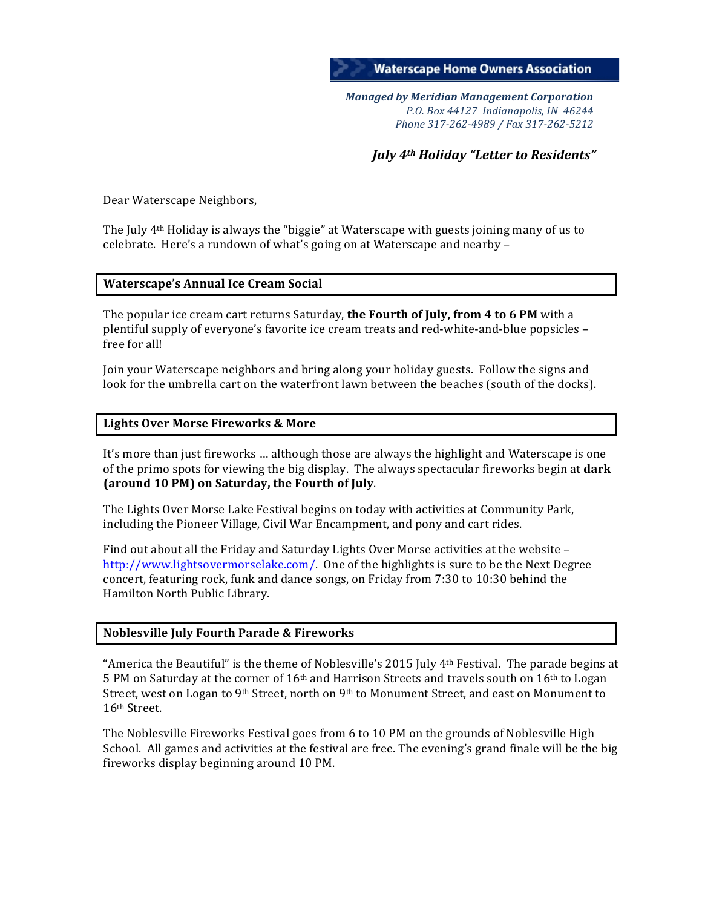

*Managed by Meridian Management Corporation P.O. Box 44127 Indianapolis, IN 46244 Phone 317-262-4989 / Fax 317-262-5212*

*July* 4<sup>th</sup> *Holiday* "Letter to Residents"

Dear Waterscape Neighbors,

The July  $4<sup>th</sup>$  Holiday is always the "biggie" at Waterscape with guests joining many of us to celebrate. Here's a rundown of what's going on at Waterscape and nearby -

# **Waterscape's Annual Ice Cream Social**

The popular ice cream cart returns Saturday, **the Fourth of July, from 4 to 6 PM** with a plentiful supply of everyone's favorite ice cream treats and red-white-and-blue popsicles – free for all!

Join your Waterscape neighbors and bring along your holiday guests. Follow the signs and look for the umbrella cart on the waterfront lawn between the beaches (south of the docks).

## **Lights Over Morse Fireworks & More**

It's more than just fireworks ... although those are always the highlight and Waterscape is one of the primo spots for viewing the big display. The always spectacular fireworks begin at **dark (around 10 PM) on Saturday, the Fourth of July.** 

The Lights Over Morse Lake Festival begins on today with activities at Community Park, including the Pioneer Village, Civil War Encampment, and pony and cart rides.

Find out about all the Friday and Saturday Lights Over Morse activities at the website  $$ http://www.lightsovermorselake.com/. One of the highlights is sure to be the Next Degree concert, featuring rock, funk and dance songs, on Friday from 7:30 to 10:30 behind the Hamilton North Public Library.

## **Noblesville July Fourth Parade & Fireworks**

"America the Beautiful" is the theme of Noblesville's 2015 July  $4<sup>th</sup>$  Festival. The parade begins at 5 PM on Saturday at the corner of  $16<sup>th</sup>$  and Harrison Streets and travels south on  $16<sup>th</sup>$  to Logan Street, west on Logan to 9<sup>th</sup> Street, north on 9<sup>th</sup> to Monument Street, and east on Monument to 16th Street.

The Noblesville Fireworks Festival goes from 6 to 10 PM on the grounds of Noblesville High School. All games and activities at the festival are free. The evening's grand finale will be the big fireworks display beginning around 10 PM.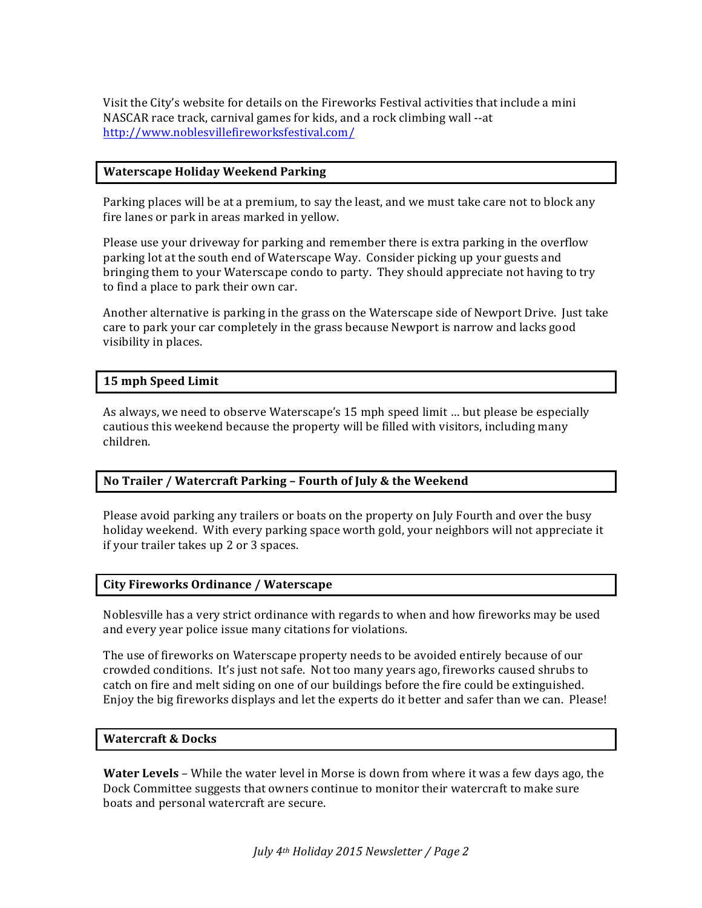Visit the City's website for details on the Fireworks Festival activities that include a mini NASCAR race track, carnival games for kids, and a rock climbing wall --at http://www.noblesvillefireworksfestival.com/

# **Waterscape Holiday Weekend Parking**

Parking places will be at a premium, to say the least, and we must take care not to block any fire lanes or park in areas marked in yellow.

Please use your driveway for parking and remember there is extra parking in the overflow parking lot at the south end of Waterscape Way. Consider picking up your guests and bringing them to your Waterscape condo to party. They should appreciate not having to try to find a place to park their own car.

Another alternative is parking in the grass on the Waterscape side of Newport Drive. Just take care to park your car completely in the grass because Newport is narrow and lacks good visibility in places.

## **15 mph Speed Limit**

As always, we need to observe Waterscape's 15 mph speed limit ... but please be especially cautious this weekend because the property will be filled with visitors, including many children. 

## **No Trailer / Watercraft Parking - Fourth of July & the Weekend**

Please avoid parking any trailers or boats on the property on July Fourth and over the busy holiday weekend. With every parking space worth gold, your neighbors will not appreciate it if your trailer takes up 2 or 3 spaces.

## **City Fireworks Ordinance / Waterscape**

Noblesville has a very strict ordinance with regards to when and how fireworks may be used and every year police issue many citations for violations.

The use of fireworks on Waterscape property needs to be avoided entirely because of our crowded conditions. It's just not safe. Not too many years ago, fireworks caused shrubs to catch on fire and melt siding on one of our buildings before the fire could be extinguished. Enjoy the big fireworks displays and let the experts do it better and safer than we can. Please!

## **Watercraft & Docks**

**Water Levels** – While the water level in Morse is down from where it was a few days ago, the Dock Committee suggests that owners continue to monitor their watercraft to make sure boats and personal watercraft are secure.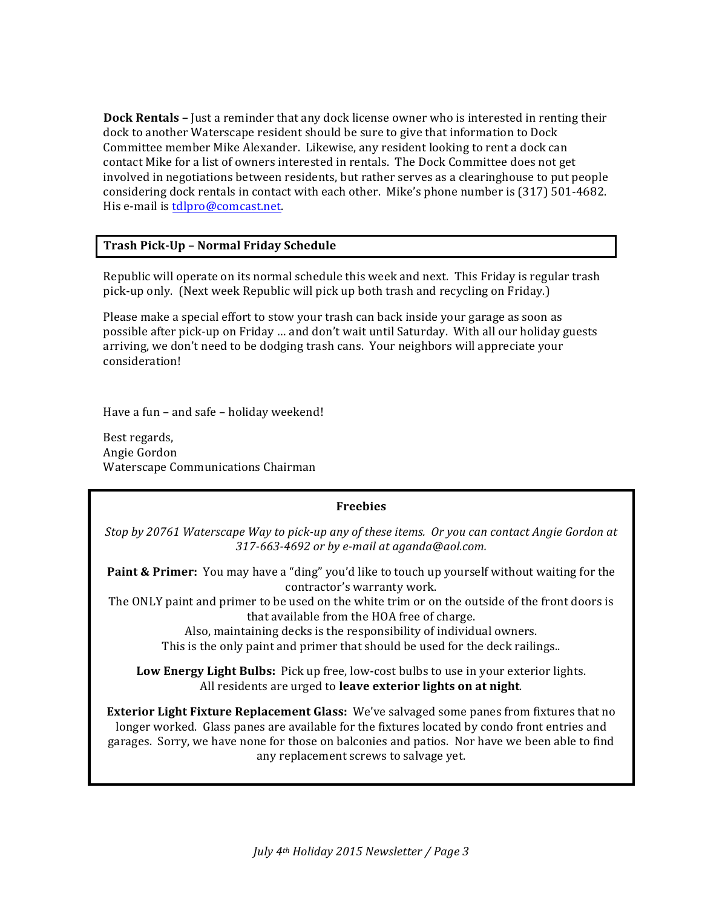**Dock Rentals** – Just a reminder that any dock license owner who is interested in renting their dock to another Waterscape resident should be sure to give that information to Dock Committee member Mike Alexander. Likewise, any resident looking to rent a dock can contact Mike for a list of owners interested in rentals. The Dock Committee does not get involved in negotiations between residents, but rather serves as a clearinghouse to put people considering dock rentals in contact with each other. Mike's phone number is (317) 501-4682. His e-mail is tdlpro@comcast.net.

# **Trash Pick-Up – Normal Friday Schedule**

Republic will operate on its normal schedule this week and next. This Friday is regular trash pick-up only. (Next week Republic will pick up both trash and recycling on Friday.)

Please make a special effort to stow your trash can back inside your garage as soon as possible after pick-up on Friday ... and don't wait until Saturday. With all our holiday guests arriving, we don't need to be dodging trash cans. Your neighbors will appreciate your consideration!

Have a fun – and safe – holiday weekend!

Best regards, Angie Gordon Waterscape Communications Chairman

## **Freebies**

*Stop* by 20761 Waterscape Way to pick-up any of these items. Or you can contact Angie Gordon at *317-663-4692 or by e-mail at aganda@aol.com.*

**Paint & Primer:** You may have a "ding" you'd like to touch up yourself without waiting for the contractor's warranty work.

The ONLY paint and primer to be used on the white trim or on the outside of the front doors is that available from the HOA free of charge.

Also, maintaining decks is the responsibility of individual owners.

This is the only paint and primer that should be used for the deck railings..

**Low Energy Light Bulbs:** Pick up free, low-cost bulbs to use in your exterior lights. All residents are urged to leave exterior lights on at night.

**Exterior Light Fixture Replacement Glass:** We've salvaged some panes from fixtures that no longer worked. Glass panes are available for the fixtures located by condo front entries and garages. Sorry, we have none for those on balconies and patios. Nor have we been able to find any replacement screws to salvage yet.